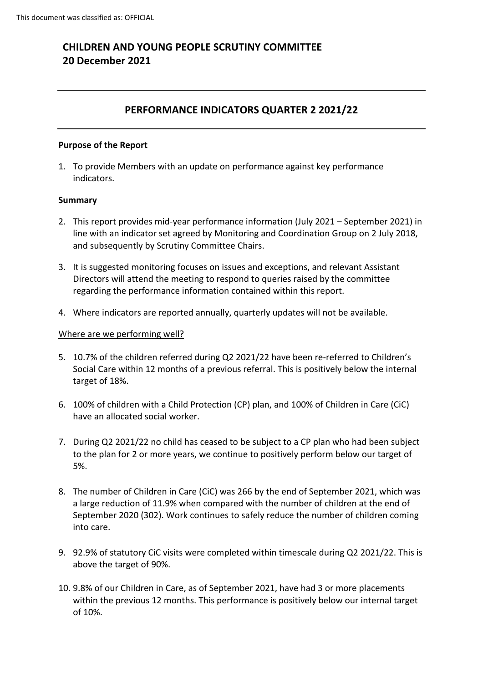# **CHILDREN AND YOUNG PEOPLE SCRUTINY COMMITTEE 20 December 2021**

## **PERFORMANCE INDICATORS QUARTER 2 2021/22**

### **Purpose of the Report**

1. To provide Members with an update on performance against key performance indicators.

### **Summary**

- 2. This report provides mid-year performance information (July 2021 September 2021) in line with an indicator set agreed by Monitoring and Coordination Group on 2 July 2018, and subsequently by Scrutiny Committee Chairs.
- 3. It is suggested monitoring focuses on issues and exceptions, and relevant Assistant Directors will attend the meeting to respond to queries raised by the committee regarding the performance information contained within this report.
- 4. Where indicators are reported annually, quarterly updates will not be available.

#### Where are we performing well?

- 5. 10.7% of the children referred during Q2 2021/22 have been re-referred to Children's Social Care within 12 months of a previous referral. This is positively below the internal target of 18%.
- 6. 100% of children with a Child Protection (CP) plan, and 100% of Children in Care (CiC) have an allocated social worker.
- 7. During Q2 2021/22 no child has ceased to be subject to a CP plan who had been subject to the plan for 2 or more years, we continue to positively perform below our target of 5%.
- 8. The number of Children in Care (CiC) was 266 by the end of September 2021, which was a large reduction of 11.9% when compared with the number of children at the end of September 2020 (302). Work continues to safely reduce the number of children coming into care.
- 9. 92.9% of statutory CiC visits were completed within timescale during Q2 2021/22. This is above the target of 90%.
- 10. 9.8% of our Children in Care, as of September 2021, have had 3 or more placements within the previous 12 months. This performance is positively below our internal target of 10%.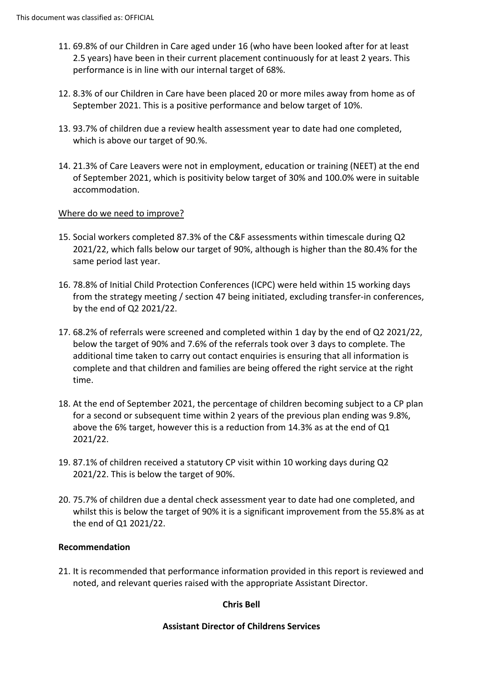- 11. 69.8% of our Children in Care aged under 16 (who have been looked after for at least 2.5 years) have been in their current placement continuously for at least 2 years. This performance is in line with our internal target of 68%.
- 12. 8.3% of our Children in Care have been placed 20 or more miles away from home as of September 2021. This is a positive performance and below target of 10%.
- 13. 93.7% of children due a review health assessment year to date had one completed, which is above our target of 90.%.
- 14. 21.3% of Care Leavers were not in employment, education or training (NEET) at the end of September 2021, which is positivity below target of 30% and 100.0% were in suitable accommodation.

### Where do we need to improve?

- 15. Social workers completed 87.3% of the C&F assessments within timescale during Q2 2021/22, which falls below our target of 90%, although is higher than the 80.4% for the same period last year.
- 16. 78.8% of Initial Child Protection Conferences (ICPC) were held within 15 working days from the strategy meeting / section 47 being initiated, excluding transfer-in conferences, by the end of Q2 2021/22.
- 17. 68.2% of referrals were screened and completed within 1 day by the end of Q2 2021/22, below the target of 90% and 7.6% of the referrals took over 3 days to complete. The additional time taken to carry out contact enquiries is ensuring that all information is complete and that children and families are being offered the right service at the right time.
- 18. At the end of September 2021, the percentage of children becoming subject to a CP plan for a second or subsequent time within 2 years of the previous plan ending was 9.8%, above the 6% target, however this is a reduction from 14.3% as at the end of Q1 2021/22.
- 19. 87.1% of children received a statutory CP visit within 10 working days during Q2 2021/22. This is below the target of 90%.
- 20. 75.7% of children due a dental check assessment year to date had one completed, and whilst this is below the target of 90% it is a significant improvement from the 55.8% as at the end of Q1 2021/22.

### **Recommendation**

21. It is recommended that performance information provided in this report is reviewed and noted, and relevant queries raised with the appropriate Assistant Director.

### **Chris Bell**

### **Assistant Director of Childrens Services**